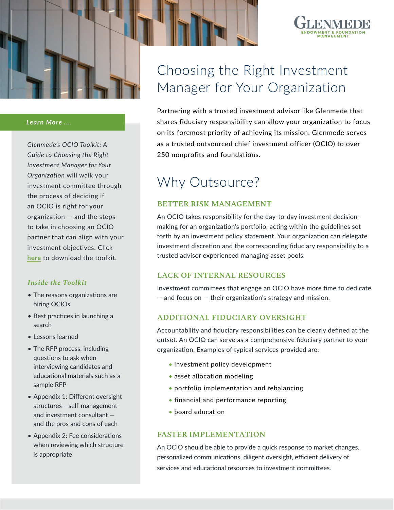

#### *Learn More ...*

*Glenmede's OCIO Toolkit: A Guide to Choosing the Right Investment Manager for Your Organization* will walk your investment committee through the process of deciding if an OCIO is right for your organization — and the steps to take in choosing an OCIO partner that can align with your investment objectives. Click **[here](https://www.glenmede.com/endowment-foundation/ocio-toolkit/)** to download the toolkit.

#### *Inside the Toolkit*

- The reasons organizations are hiring OCIOs
- Best practices in launching a search
- Lessons learned
- The RFP process, including questions to ask when interviewing candidates and educational materials such as a sample RFP
- Appendix 1: Different oversight structures —self-management and investment consultant and the pros and cons of each
- Appendix 2: Fee considerations when reviewing which structure is appropriate

# Choosing the Right Investment Manager for Your Organization

Partnering with a trusted investment advisor like Glenmede that shares fiduciary responsibility can allow your organization to focus on its foremost priority of achieving its mission. Glenmede serves as a trusted outsourced chief investment officer (OCIO) to over 250 nonprofits and foundations.

## Why Outsource?

### **BETTER RISK MANAGEMENT**

An OCIO takes responsibility for the day-to-day investment decisionmaking for an organization's portfolio, acting within the guidelines set forth by an investment policy statement. Your organization can delegate investment discretion and the corresponding fiduciary responsibility to a trusted advisor experienced managing asset pools.

#### **LACK OF INTERNAL RESOURCES**

Investment committees that engage an OCIO have more time to dedicate — and focus on — their organization's strategy and mission.

### **ADDITIONAL FIDUCIARY OVERSIGHT**

Accountability and fiduciary responsibilities can be clearly defined at the outset. An OCIO can serve as a comprehensive fiduciary partner to your organization. Examples of typical services provided are:

- investment policy development
- asset allocation modeling
- portfolio implementation and rebalancing
- financial and performance reporting
- board education

#### **FASTER IMPLEMENTATION**

An OCIO should be able to provide a quick response to market changes, personalized communications, diligent oversight, efficient delivery of services and educational resources to investment committees.